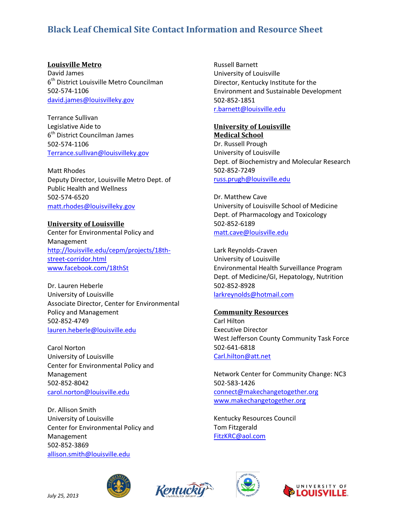# **Black Leaf Chemical Site Contact Information and Resource Sheet**

### **Louisville Metro**

David James 6<sup>th</sup> District Louisville Metro Councilman 502-574-1106 [david.james@louisvilleky.gov](mailto:david.james@louisvilleky.gov)

Terrance Sullivan Legislative Aide to 6<sup>th</sup> District Councilman James 502-574-1106 [Terrance.sullivan@louisvilleky.gov](mailto:Terrance.sullivan@louisvilleky.gov)

Matt Rhodes Deputy Director, Louisville Metro Dept. of Public Health and Wellness 502-574-6520 [matt.rhodes@louisvilleky.gov](mailto:matt.rhodes@louisvilleky.gov)

#### **University of Louisville**

Center for Environmental Policy and Management [http://louisville.edu/cepm/projects/18th](http://louisville.edu/cepm/projects/18th-street-corridor.html)[street-corridor.html](http://louisville.edu/cepm/projects/18th-street-corridor.html) [www.facebook.com/18thSt](http://www.facebook.com/18thSt)

Dr. Lauren Heberle University of Louisville Associate Director, Center for Environmental Policy and Management 502-852-4749 [lauren.heberle@louisville.edu](mailto:lauren.heberle@louisville.edu)

Carol Norton University of Louisville Center for Environmental Policy and Management 502-852-8042 [carol.norton@louisville.edu](mailto:carol.norton@louisville.edu)

Dr. Allison Smith University of Louisville Center for Environmental Policy and Management 502-852-3869 [allison.smith@louisville.edu](mailto:allison.smith@louisville.edu)

Russell Barnett University of Louisville Director, Kentucky Institute for the Environment and Sustainable Development 502-852-1851 [r.barnett@louisville.edu](mailto:r.barnett@louisville.edu)

#### **University of Louisville Medical School**

Dr. Russell Prough University of Louisville Dept. of Biochemistry and Molecular Research 502-852-7249 [russ.prugh@louisville.edu](mailto:russ.prugh@louisville.edu)

Dr. Matthew Cave University of Louisville School of Medicine Dept. of Pharmacology and Toxicology 502-852-6189 [matt.cave@louisville.edu](mailto:matt.cave@louisville.edu)

Lark Reynolds-Craven University of Louisville Environmental Health Surveillance Program Dept. of Medicine/GI, Hepatology, Nutrition 502-852-8928 [larkreynolds@hotmail.com](mailto:larkreynolds@hotmail.com)

## **Community Resources**

Carl Hilton Executive Director West Jefferson County Community Task Force 502-641-6818 [Carl.hilton@att.net](mailto:Carl.hilton@att.net)

Network Center for Community Change: NC3 502-583-1426 [connect@makechangetogether.org](mailto:connect@makechangetogether.org) [www.makechangetogether.org](http://www.makechangetogether.org/)

Kentucky Resources Council Tom Fitzgerald [FitzKRC@aol.com](mailto:FitzKRC@aol.com)